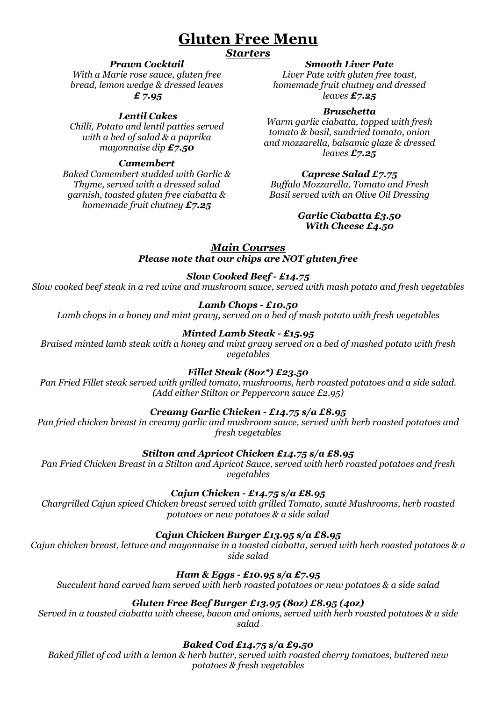# **Gluten Free Menu**

# *Starters*

# *Prawn Cocktail*

*With a Marie rose sauce, gluten free bread, lemon wedge & dressed leaves £ 7.95*

# *Lentil Cakes*

*Chilli, Potato and lentil patties served with a bed of salad & a paprika mayonnaise dip £7.50*

# *Camembert*

*Baked Camembert studded with Garlic & Thyme, served with a dressed salad garnish, toasted gluten free ciabatta & homemade fruit chutney £7.25*

## *Smooth Liver Pate*

*Liver Pate with gluten free toast, homemade fruit chutney and dressed leaves £7.25*

# *Bruschetta*

*Warm garlic ciabatta, topped with fresh tomato & basil, sundried tomato, onion and mozzarella, balsamic glaze & dressed leaves £7.25*

# *Caprese Salad £7.75*

*Buffalo Mozzarella, Tomato and Fresh Basil served with an Olive Oil Dressing* 

#### *Garlic Ciabatta £3.50 With Cheese £4.50*

#### *Main Courses Please note that our chips are NOT gluten free*

## *Slow Cooked Beef - £14.75*

*Slow cooked beef steak in a red wine and mushroom sauce, served with mash potato and fresh vegetables* 

## *Lamb Chops - £10.50*

*Lamb chops in a honey and mint gravy, served on a bed of mash potato with fresh vegetables*

# *Minted Lamb Steak - £15.95*

*Braised minted lamb steak with a honey and mint gravy served on a bed of mashed potato with fresh vegetables*

#### *Fillet Steak (8oz\*) £23.50*

*Pan Fried Fillet steak served with grilled tomato, mushrooms, herb roasted potatoes and a side salad. (Add either Stilton or Peppercorn sauce £2.95)*

## *Creamy Garlic Chicken - £14.75 s/a £8.95*

*Pan fried chicken breast in creamy garlic and mushroom sauce, served with herb roasted potatoes and fresh vegetables* 

## *Stilton and Apricot Chicken £14.75 s/a £8.95*

*Pan Fried Chicken Breast in a Stilton and Apricot Sauce, served with herb roasted potatoes and fresh vegetables*

*Cajun Chicken - £14.75 s/a £8.95*

*Chargrilled Cajun spiced Chicken breast served with grilled Tomato, sauté Mushrooms, herb roasted potatoes or new potatoes & a side salad* 

## *Cajun Chicken Burger £13.95 s/a £8.95*

*Cajun chicken breast, lettuce and mayonnaise in a toasted ciabatta, served with herb roasted potatoes & a side salad* 

## *Ham & Eggs - £10.95 s/a £7.95*

*Succulent hand carved ham served with herb roasted potatoes or new potatoes & a side salad*

## *Gluten Free Beef Burger £13.95 (8oz) £8.95 (4oz)*

*Served in a toasted ciabatta with cheese, bacon and onions, served with herb roasted potatoes & a side salad*

# *Baked Cod £14.75 s/a £9.50*

*Baked fillet of cod with a lemon & herb butter, served with roasted cherry tomatoes, buttered new potatoes & fresh vegetables*